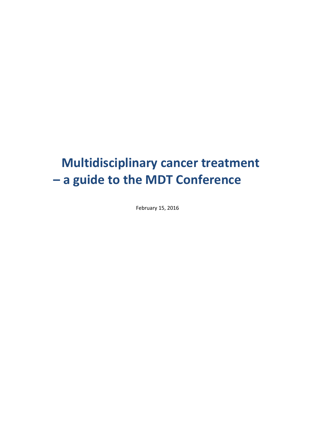# **Multidisciplinary cancer treatment – a guide to the MDT Conference**

February 15, 2016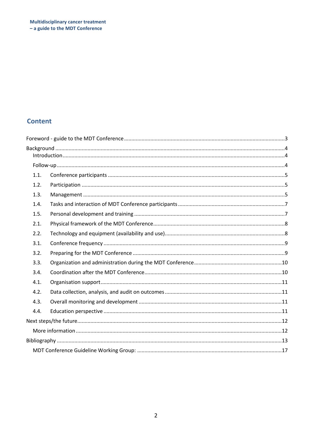# **Content**

| 1.1. |  |  |
|------|--|--|
| 1.2. |  |  |
| 1.3. |  |  |
| 1.4. |  |  |
| 1.5. |  |  |
| 2.1. |  |  |
| 2.2. |  |  |
| 3.1. |  |  |
| 3.2. |  |  |
| 3.3. |  |  |
| 3.4. |  |  |
| 4.1. |  |  |
| 4.2. |  |  |
| 4.3. |  |  |
| 4.4. |  |  |
|      |  |  |
|      |  |  |
|      |  |  |
|      |  |  |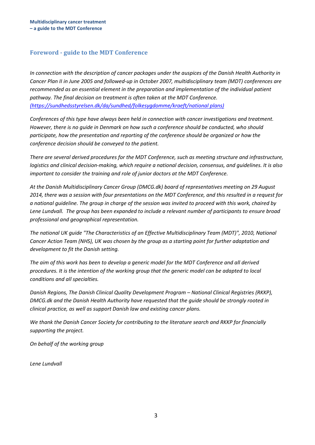### <span id="page-2-0"></span>**Foreword - guide to the MDT Conference**

*In connection with the description of cancer packages under the auspices of the Danish Health Authority in Cancer Plan II in June 2005 and followed-up in October 2007, multidisciplinary team (MDT) conferences are recommended as an essential element in the preparation and implementation of the individual patient pathway. The final decision on treatment is often taken at the MDT Conference. (https://sundhedsstyrelsen.dk/da/sundhed/folkesygdomme/kraeft/national plans)*

*Conferences of this type have always been held in connection with cancer investigations and treatment. However, there is no guide in Denmark on how such a conference should be conducted, who should participate, how the presentation and reporting of the conference should be organized or how the conference decision should be conveyed to the patient.*

*There are several derived procedures for the MDT Conference, such as meeting structure and infrastructure, logistics and clinical decision-making, which require a national decision, consensus, and guidelines. It is also important to consider the training and role of junior doctors at the MDT Conference.*

*At the Danish Multidisciplinary Cancer Group (DMCG.dk) board of representatives meeting on 29 August 2014, there was a session with four presentations on the MDT Conference, and this resulted in a request for a national guideline. The group in charge of the session was invited to proceed with this work, chaired by Lene Lundvall. The group has been expanded to include a relevant number of participants to ensure broad professional and geographical representation.*

*The national UK guide "The Characteristics of an Effective Multidisciplinary Team (MDT)", 2010, National Cancer Action Team (NHS), UK was chosen by the group as a starting point for further adaptation and development to fit the Danish setting.*

*The aim of this work has been to develop a generic model for the MDT Conference and all derived procedures. It is the intention of the working group that the generic model can be adapted to local conditions and all specialties.*

*Danish Regions, The Danish Clinical Quality Development Program – National Clinical Registries (RKKP), DMCG.dk and the Danish Health Authority have requested that the guide should be strongly rooted in clinical practice, as well as support Danish law and existing cancer plans.*

*We thank the Danish Cancer Society for contributing to the literature search and RKKP for financially supporting the project.*

*On behalf of the working group*

*Lene Lundvall*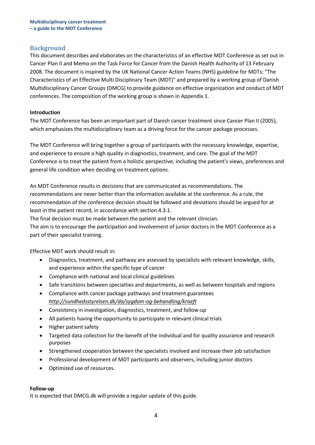### <span id="page-3-0"></span>**Background**

This document describes and elaborates on the characteristics of an effective MDT Conference as set out in Cancer Plan II and Memo on the Task Force for Cancer from the Danish Health Authority of 13 February 2008. The document is inspired by the UK National Cancer Action Teams (NHS) guideline for MDTs: "The Characteristics of an Effective Multi Disciplinary Team (MDT)" and prepared by a working group of Danish Multidisciplinary Cancer Groups (DMCG) to provide guidance on effective organization and conduct of MDT conferences. The composition of the working group is shown in Appendix 1.

### <span id="page-3-1"></span>**Introduction**

The MDT Conference has been an important part of Danish cancer treatment since Cancer Plan II (2005), which emphasizes the multidisciplinary team as a driving force for the cancer package processes.

The MDT Conference will bring together a group of participants with the necessary knowledge, expertise, and experience to ensure a high quality in diagnostics, treatment, and care. The goal of the MDT Conference is to treat the patient from a holistic perspective, including the patient's views, preferences and general life condition when deciding on treatment options.

An MDT Conference results in decisions that are communicated as recommendations. The recommendations are never better than the information available at the conference. As a rule, the recommendation of the conference decision should be followed and deviations should be argued for at least in the patient record, in accordance with section 4.3.1.

The final decision must be made between the patient and the relevant clinician.

The aim is to encourage the participation and involvement of junior doctors in the MDT Conference as a part of their specialist training.

Effective MDT work should result in:

- Diagnostics, treatment, and pathway are assessed by specialists with relevant knowledge, skills, and experience within the specific type of cancer
- Compliance with national and local clinical guidelines
- Safe transitions between specialties and departments, as well as between hospitals and regions
- Compliance with cancer package pathways and treatment guarantees *<http://sundhedsstyrelsen.dk/da/sygdom-og-behandling/kraeft>*
- Consistency in investigation, diagnostics, treatment, and follow-up
- All patients having the opportunity to participate in relevant clinical trials
- Higher patient safety
- Targeted data collection for the benefit of the individual and for quality assurance and research purposes
- Strengthened cooperation between the specialists involved and increase their job satisfaction
- Professional development of MDT participants and observers, including junior doctors
- Optimized use of resources.

### <span id="page-3-2"></span>**Follow-up**

It is expected that DMCG.dk will provide a regular update of this guide.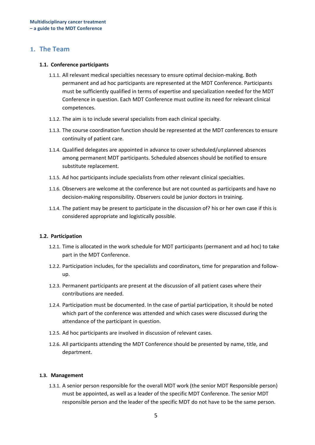### **1. The Team**

#### <span id="page-4-0"></span>**1.1. Conference participants**

- 1.1.1. All relevant medical specialties necessary to ensure optimal decision-making. Both permanent and ad hoc participants are represented at the MDT Conference. Participants must be sufficiently qualified in terms of expertise and specialization needed for the MDT Conference in question. Each MDT Conference must outline its need for relevant clinical competences.
- 1.1.2. The aim is to include several specialists from each clinical specialty.
- 1.1.3. The course coordination function should be represented at the MDT conferences to ensure continuity of patient care.
- 1.1.4. Qualified delegates are appointed in advance to cover scheduled/unplanned absences among permanent MDT participants. Scheduled absences should be notified to ensure substitute replacement.
- 1.1.5. Ad hoc participants include specialists from other relevant clinical specialties.
- 1.1.6. Observers are welcome at the conference but are not counted as participants and have no decision-making responsibility. Observers could be junior doctors in training.
- 1.1.4. The patient may be present to participate in the discussion of? his or her own case if this is considered appropriate and logistically possible.

### <span id="page-4-1"></span>**1.2. Participation**

- 1.2.1. Time is allocated in the work schedule for MDT participants (permanent and ad hoc) to take part in the MDT Conference.
- 1.2.2. Participation includes, for the specialists and coordinators, time for preparation and followup.
- 1.2.3. Permanent participants are present at the discussion of all patient cases where their contributions are needed.
- 1.2.4. Participation must be documented. In the case of partial participation, it should be noted which part of the conference was attended and which cases were discussed during the attendance of the participant in question.
- 1.2.5. Ad hoc participants are involved in discussion of relevant cases.
- 1.2.6. All participants attending the MDT Conference should be presented by name, title, and department.

#### <span id="page-4-2"></span>**1.3. Management**

1.3.1. A senior person responsible for the overall MDT work (the senior MDT Responsible person) must be appointed, as well as a leader of the specific MDT Conference. The senior MDT responsible person and the leader of the specific MDT do not have to be the same person.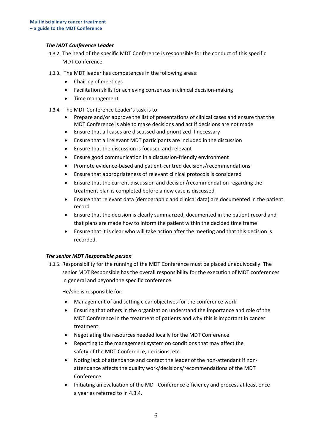### *The MDT Conference Leader*

- 1.3.2. The head of the specific MDT Conference is responsible for the conduct of this specific MDT Conference.
- 1.3.3. The MDT leader has competences in the following areas:
	- Chairing of meetings
	- Facilitation skills for achieving consensus in clinical decision-making
	- Time management
- 1.3.4. The MDT Conference Leader's task is to:
	- Prepare and/or approve the list of presentations of clinical cases and ensure that the MDT Conference is able to make decisions and act if decisions are not made
	- Ensure that all cases are discussed and prioritized if necessary
	- Ensure that all relevant MDT participants are included in the discussion
	- Ensure that the discussion is focused and relevant
	- Ensure good communication in a discussion-friendly environment
	- Promote evidence-based and patient-centred decisions/recommendations
	- Ensure that appropriateness of relevant clinical protocols is considered
	- Ensure that the current discussion and decision/recommendation regarding the treatment plan is completed before a new case is discussed
	- Ensure that relevant data (demographic and clinical data) are documented in the patient record
	- Ensure that the decision is clearly summarized, documented in the patient record and that plans are made how to inform the patient within the decided time frame
	- Ensure that it is clear who will take action after the meeting and that this decision is recorded.

### *The senior MDT Responsible person*

1.3.5. Responsibility for the running of the MDT Conference must be placed unequivocally. The senior MDT Responsible has the overall responsibility for the execution of MDT conferences in general and beyond the specific conference.

He/she is responsible for:

- Management of and setting clear objectives for the conference work
- Ensuring that others in the organization understand the importance and role of the MDT Conference in the treatment of patients and why this is important in cancer treatment
- Negotiating the resources needed locally for the MDT Conference
- Reporting to the management system on conditions that may affect the safety of the MDT Conference, decisions, etc.
- Noting lack of attendance and contact the leader of the non-attendant if nonattendance affects the quality work/decisions/recommendations of the MDT Conference
- Initiating an evaluation of the MDT Conference efficiency and process at least once a year as referred to in 4.3.4.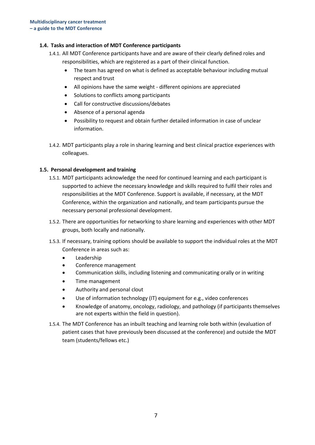### <span id="page-6-0"></span>**1.4. Tasks and interaction of MDT Conference participants**

- 1.4.1. All MDT Conference participants have and are aware of their clearly defined roles and responsibilities, which are registered as a part of their clinical function.
	- The team has agreed on what is defined as acceptable behaviour including mutual respect and trust
	- All opinions have the same weight different opinions are appreciated
	- Solutions to conflicts among participants
	- Call for constructive discussions/debates
	- Absence of a personal agenda
	- Possibility to request and obtain further detailed information in case of unclear information.
- 1.4.2. MDT participants play a role in sharing learning and best clinical practice experiences with colleagues.

### <span id="page-6-1"></span>**1.5. Personal development and training**

- 1.5.1. MDT participants acknowledge the need for continued learning and each participant is supported to achieve the necessary knowledge and skills required to fulfil their roles and responsibilities at the MDT Conference. Support is available, if necessary, at the MDT Conference, within the organization and nationally, and team participants pursue the necessary personal professional development.
- 1.5.2. There are opportunities for networking to share learning and experiences with other MDT groups, both locally and nationally.
- 1.5.3. If necessary, training options should be available to support the individual roles at the MDT Conference in areas such as:
	- Leadership
	- Conference management
	- Communication skills, including listening and communicating orally or in writing
	- Time management
	- Authority and personal clout
	- Use of information technology (IT) equipment for e.g., video conferences
	- Knowledge of anatomy, oncology, radiology, and pathology (if participants themselves are not experts within the field in question).
- 1.5.4. The MDT Conference has an inbuilt teaching and learning role both within (evaluation of patient cases that have previously been discussed at the conference) and outside the MDT team (students/fellows etc.)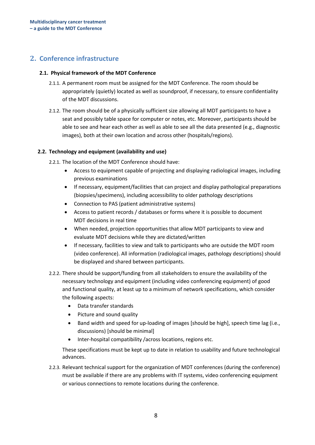# <span id="page-7-0"></span>**2. Conference infrastructure**

### **2.1. Physical framework of the MDT Conference**

- 2.1.1. A permanent room must be assigned for the MDT Conference. The room should be appropriately (quietly) located as well as soundproof, if necessary, to ensure confidentiality of the MDT discussions.
- 2.1.2. The room should be of a physically sufficient size allowing all MDT participants to have a seat and possibly table space for computer or notes, etc. Moreover, participants should be able to see and hear each other as well as able to see all the data presented (e.g., diagnostic images), both at their own location and across other (hospitals/regions).

### <span id="page-7-1"></span>**2.2. Technology and equipment (availability and use)**

2.2.1. The location of the MDT Conference should have:

- Access to equipment capable of projecting and displaying radiological images, including previous examinations
- If necessary, equipment/facilities that can project and display pathological preparations (biopsies/specimens), including accessibility to older pathology descriptions
- Connection to PAS (patient administrative systems)
- Access to patient records / databases or forms where it is possible to document MDT decisions in real time
- When needed, projection opportunities that allow MDT participants to view and evaluate MDT decisions while they are dictated/written
- If necessary, facilities to view and talk to participants who are outside the MDT room (video conference). All information (radiological images, pathology descriptions) should be displayed and shared between participants.
- 2.2.2. There should be support/funding from all stakeholders to ensure the availability of the necessary technology and equipment (including video conferencing equipment) of good and functional quality, at least up to a minimum of network specifications, which consider the following aspects:
	- Data transfer standards
	- Picture and sound quality
	- Band width and speed for up-loading of images [should be high], speech time lag (i.e., discussions) [should be minimal]
	- Inter-hospital compatibility /across locations, regions etc.

These specifications must be kept up to date in relation to usability and future technological advances.

2.2.3. Relevant technical support for the organization of MDT conferences (during the conference) must be available if there are any problems with IT systems, video conferencing equipment or various connections to remote locations during the conference.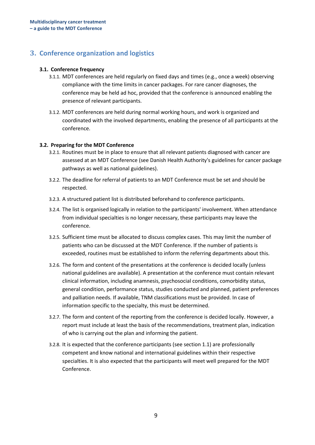# **3. Conference organization and logistics**

### <span id="page-8-0"></span>**3.1. Conference frequency**

- 3.1.1. MDT conferences are held regularly on fixed days and times (e.g., once a week) observing compliance with the time limits in cancer packages. For rare cancer diagnoses, the conference may be held ad hoc, provided that the conference is announced enabling the presence of relevant participants.
- 3.1.2. MDT conferences are held during normal working hours, and work is organized and coordinated with the involved departments, enabling the presence of all participants at the conference.

### <span id="page-8-1"></span>**3.2. Preparing for the MDT Conference**

- 3.2.1. Routines must be in place to ensure that all relevant patients diagnosed with cancer are assessed at an MDT Conference (see Danish Health Authority's guidelines for cancer package pathways as well as national guidelines).
- 3.2.2. The deadline for referral of patients to an MDT Conference must be set and should be respected.
- 3.2.3. A structured patient list is distributed beforehand to conference participants.
- 3.2.4. The list is organised logically in relation to the participants' involvement. When attendance from individual specialties is no longer necessary, these participants may leave the conference.
- 3.2.5. Sufficient time must be allocated to discuss complex cases. This may limit the number of patients who can be discussed at the MDT Conference. If the number of patients is exceeded, routines must be established to inform the referring departments about this.
- 3.2.6. The form and content of the presentations at the conference is decided locally (unless national guidelines are available). A presentation at the conference must contain relevant clinical information, including anamnesis, psychosocial conditions, comorbidity status, general condition, performance status, studies conducted and planned, patient preferences and palliation needs. If available, TNM classifications must be provided. In case of information specific to the specialty, this must be determined.
- 3.2.7. The form and content of the reporting from the conference is decided locally. However, a report must include at least the basis of the recommendations, treatment plan, indication of who is carrying out the plan and informing the patient.
- 3.2.8. It is expected that the conference participants (see section 1.1) are professionally competent and know national and international guidelines within their respective specialties. It is also expected that the participants will meet well prepared for the MDT Conference.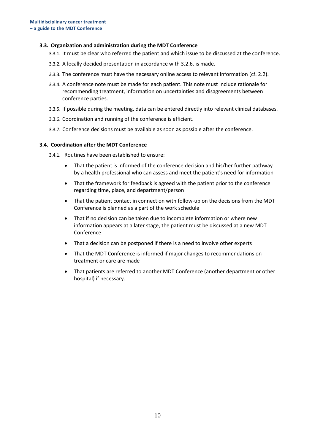### <span id="page-9-0"></span>**3.3. Organization and administration during the MDT Conference**

- 3.3.1. It must be clear who referred the patient and which issue to be discussed at the conference.
- 3.3.2. A locally decided presentation in accordance with 3.2.6. is made.
- 3.3.3. The conference must have the necessary online access to relevant information (cf. 2.2).
- 3.3.4. A conference note must be made for each patient. This note must include rationale for recommending treatment, information on uncertainties and disagreements between conference parties.
- 3.3.5. If possible during the meeting, data can be entered directly into relevant clinical databases.
- 3.3.6. Coordination and running of the conference is efficient.
- 3.3.7. Conference decisions must be available as soon as possible after the conference.

#### <span id="page-9-1"></span>**3.4. Coordination after the MDT Conference**

3.4.1. Routines have been established to ensure:

- That the patient is informed of the conference decision and his/her further pathway by a health professional who can assess and meet the patient's need for information
- That the framework for feedback is agreed with the patient prior to the conference regarding time, place, and department/person
- That the patient contact in connection with follow-up on the decisions from the MDT Conference is planned as a part of the work schedule
- That if no decision can be taken due to incomplete information or where new information appears at a later stage, the patient must be discussed at a new MDT Conference
- That a decision can be postponed if there is a need to involve other experts
- That the MDT Conference is informed if major changes to recommendations on treatment or care are made
- That patients are referred to another MDT Conference (another department or other hospital) if necessary.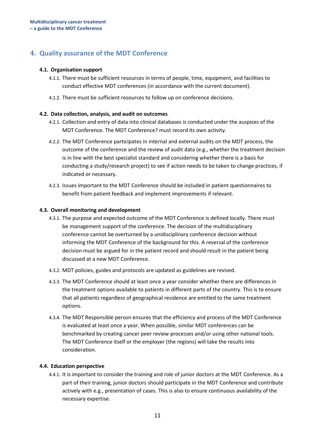# **4. Quality assurance of the MDT Conference**

### <span id="page-10-0"></span>**4.1. Organisation support**

- 4.1.1. There must be sufficient resources in terms of people, time, equipment, and facilities to conduct effective MDT conferences (in accordance with the current document).
- 4.1.2. There must be sufficient resources to follow up on conference decisions.

### <span id="page-10-1"></span>**4.2. Data collection, analysis, and audit on outcomes**

- 4.2.1. Collection and entry of data into clinical databases is conducted under the auspices of the MDT Conference. The MDT Conference? must record its own activity.
- 4.2.2. The MDT Conference participates in internal and external audits on the MDT process, the outcome of the conference and the review of audit data (e.g., whether the treatment decision is in line with the best specialist standard and considering whether there is a basis for conducting a study/research project) to see if action needs to be taken to change practices, if indicated or necessary.
- 4.2.3. Issues important to the MDT Conference should be included in patient questionnaires to benefit from patient feedback and implement improvements if relevant.

### <span id="page-10-2"></span>**4.3. Overall monitoring and development**

- 4.3.1. The purpose and expected outcome of the MDT Conference is defined locally. There must be management support of the conference. The decision of the multidisciplinary conference cannot be overturned by a unidisciplinary conference decision without informing the MDT Conference of the background for this. A reversal of the conference decision must be argued for in the patient record and should result in the patient being discussed at a new MDT Conference.
- 4.3.2. MDT policies, guides and protocols are updated as guidelines are revised.
- 4.3.3. The MDT Conference should at least once a year consider whether there are differences in the treatment options available to patients in different parts of the country. This is to ensure that all patients regardless of geographical residence are entitled to the same treatment options.
- 4.3.4. The MDT Responsible person ensures that the efficiency and process of the MDT Conference is evaluated at least once a year. When possible, similar MDT conferences can be benchmarked by creating cancer peer review processes and/or using other national tools. The MDT Conference itself or the employer (the regions) will take the results into consideration.

### <span id="page-10-3"></span>**4.4. Education perspective**

4.4.1. It is important to consider the training and role of junior doctors at the MDT Conference. As a part of their training, junior doctors should participate in the MDT Conference and contribute actively with e.g., presentation of cases. This is also to ensure continuous availability of the necessary expertise.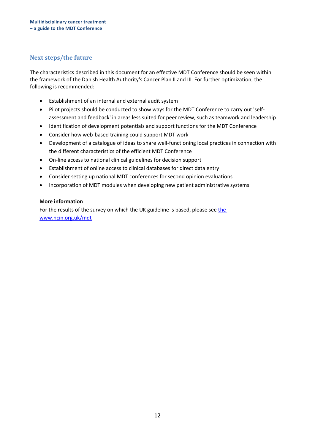### <span id="page-11-0"></span>**Next steps/the future**

The characteristics described in this document for an effective MDT Conference should be seen within the framework of the Danish Health Authority's Cancer Plan II and III. For further optimization, the following is recommended:

- Establishment of an internal and external audit system
- Pilot projects should be conducted to show ways for the MDT Conference to carry out 'selfassessment and feedback' in areas less suited for peer review, such as teamwork and leadership
- Identification of development potentials and support functions for the MDT Conference
- Consider how web-based training could support MDT work
- Development of a catalogue of ideas to share well-functioning local practices in connection with the different characteristics of the efficient MDT Conference
- On-line access to national clinical guidelines for decision support
- Establishment of online access to clinical databases for direct data entry
- Consider setting up national MDT conferences for second opinion evaluations
- Incorporation of MDT modules when developing new patient administrative systems.

### <span id="page-11-1"></span>**More information**

For [the](http://www.ncin.org.uk/mdt) results of the survey on which the UK guideline is based, please see the [www.ncin.org.uk/mdt](http://www.ncin.org.uk/mdt)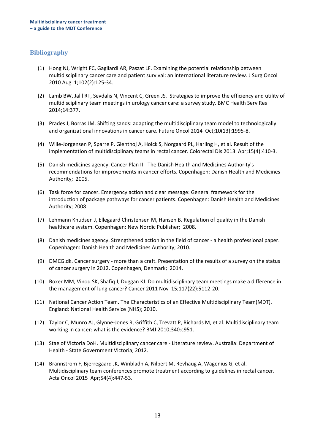### <span id="page-12-0"></span>**Bibliography**

- (1) Hong NJ, Wright FC, Gagliardi AR, Paszat LF. Examining the potential relationship between multidisciplinary cancer care and patient survival: an international literature review. J Surg Oncol 2010 Aug 1;102(2):125-34.
- (2) Lamb BW, Jalil RT, Sevdalis N, Vincent C, Green JS. Strategies to improve the efficiency and utility of multidisciplinary team meetings in urology cancer care: a survey study. BMC Health Serv Res 2014;14:377.
- (3) Prades J, Borras JM. Shifting sands: adapting the multidisciplinary team model to technologically and organizational innovations in cancer care. Future Oncol 2014 Oct;10(13):1995-8.
- (4) Wille-Jorgensen P, Sparre P, Glenthoj A, Holck S, Norgaard PL, Harling H, et al. Result of the implementation of multidisciplinary teams in rectal cancer. Colorectal Dis 2013 Apr;15(4):410-3.
- (5) Danish medicines agency. Cancer Plan II The Danish Health and Medicines Authority's recommendations for improvements in cancer efforts. Copenhagen: Danish Health and Medicines Authority; 2005.
- (6) Task force for cancer. Emergency action and clear message: General framework for the introduction of package pathways for cancer patients. Copenhagen: Danish Health and Medicines Authority; 2008.
- (7) Lehmann Knudsen J, Ellegaard Christensen M, Hansen B. Regulation of quality in the Danish healthcare system. Copenhagen: New Nordic Publisher; 2008.
- (8) Danish medicines agency. Strengthened action in the field of cancer a health professional paper. Copenhagen: Danish Health and Medicines Authority; 2010.
- (9) DMCG.dk. Cancer surgery more than a craft. Presentation of the results of a survey on the status of cancer surgery in 2012. Copenhagen, Denmark; 2014.
- (10) Boxer MM, Vinod SK, Shafiq J, Duggan KJ. Do multidisciplinary team meetings make a difference in the management of lung cancer? Cancer 2011 Nov 15;117(22):5112-20.
- (11) National Cancer Action Team. The Characteristics of an Effective Multidisciplinary Team(MDT). England: National Health Service (NHS); 2010.
- (12) Taylor C, Munro AJ, Glynne-Jones R, Griffith C, Trevatt P, Richards M, et al. Multidisciplinary team working in cancer: what is the evidence? BMJ 2010;340:c951.
- (13) Stae of Victoria DoH. Multidisciplinary cancer care Literature review. Australia: Department of Health - State Government Victoria; 2012.
- (14) Brannstrom F, Bjerregaard JK, Winbladh A, Nilbert M, Revhaug A, Wagenius G, et al. Multidisciplinary team conferences promote treatment according to guidelines in rectal cancer. Acta Oncol 2015 Apr;54(4):447-53.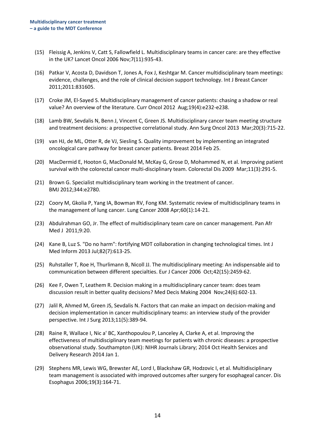- (15) Fleissig A, Jenkins V, Catt S, Fallowfield L. Multidisciplinary teams in cancer care: are they effective in the UK? Lancet Oncol 2006 Nov;7(11):935-43.
- (16) Patkar V, Acosta D, Davidson T, Jones A, Fox J, Keshtgar M. Cancer multidisciplinary team meetings: evidence, challenges, and the role of clinical decision support technology. Int J Breast Cancer 2011;2011:831605.
- (17) Croke JM, El-Sayed S. Multidisciplinary management of cancer patients: chasing a shadow or real value? An overview of the literature. Curr Oncol 2012 Aug;19(4):e232-e238.
- (18) Lamb BW, Sevdalis N, Benn J, Vincent C, Green JS. Multidisciplinary cancer team meeting structure and treatment decisions: a prospective correlational study. Ann Surg Oncol 2013 Mar;20(3):715-22.
- (19) van HJ, de ML, Otter R, de VJ, Siesling S. Quality improvement by implementing an integrated oncological care pathway for breast cancer patients. Breast 2014 Feb 25.
- (20) MacDermid E, Hooton G, MacDonald M, McKay G, Grose D, Mohammed N, et al. Improving patient survival with the colorectal cancer multi-disciplinary team. Colorectal Dis 2009 Mar;11(3):291-5.
- (21) Brown G. Specialist multidisciplinary team working in the treatment of cancer. BMJ 2012;344:e2780.
- (22) Coory M, Gkolia P, Yang IA, Bowman RV, Fong KM. Systematic review of multidisciplinary teams in the management of lung cancer. Lung Cancer 2008 Apr;60(1):14-21.
- (23) Abdulrahman GO, Jr. The effect of multidisciplinary team care on cancer management. Pan Afr Med J 2011;9:20.
- (24) Kane B, Luz S. "Do no harm": fortifying MDT collaboration in changing technological times. Int J Med Inform 2013 Jul;82(7):613-25.
- (25) Ruhstaller T, Roe H, Thurlimann B, Nicoll JJ. The multidisciplinary meeting: An indispensable aid to communication between different specialties. Eur J Cancer 2006 Oct;42(15):2459-62.
- (26) Kee F, Owen T, Leathem R. Decision making in a multidisciplinary cancer team: does team discussion result in better quality decisions? Med Decis Making 2004 Nov;24(6):602-13.
- (27) Jalil R, Ahmed M, Green JS, Sevdalis N. Factors that can make an impact on decision-making and decision implementation in cancer multidisciplinary teams: an interview study of the provider perspective. Int J Surg 2013;11(5):389-94.
- (28) Raine R, Wallace I, Nic a' BC, Xanthopoulou P, Lanceley A, Clarke A, et al. Improving the effectiveness of multidisciplinary team meetings for patients with chronic diseases: a prospective observational study. Southampton (UK): NIHR Journals Library; 2014 Oct Health Services and Delivery Research 2014 Jan 1.
- (29) Stephens MR, Lewis WG, Brewster AE, Lord I, Blackshaw GR, Hodzovic I, et al. Multidisciplinary team management is associated with improved outcomes after surgery for esophageal cancer. Dis Esophagus 2006;19(3):164-71.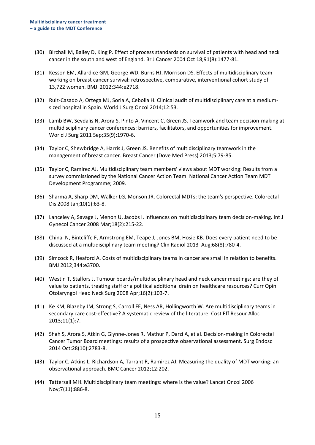- (30) Birchall M, Bailey D, King P. Effect of process standards on survival of patients with head and neck cancer in the south and west of England. Br J Cancer 2004 Oct 18;91(8):1477-81.
- (31) Kesson EM, Allardice GM, George WD, Burns HJ, Morrison DS. Effects of multidisciplinary team working on breast cancer survival: retrospective, comparative, interventional cohort study of 13,722 women. BMJ 2012;344:e2718.
- (32) Ruiz-Casado A, Ortega MJ, Soria A, Cebolla H. Clinical audit of multidisciplinary care at a mediumsized hospital in Spain. World J Surg Oncol 2014;12:53.
- (33) Lamb BW, Sevdalis N, Arora S, Pinto A, Vincent C, Green JS. Teamwork and team decision-making at multidisciplinary cancer conferences: barriers, facilitators, and opportunities for improvement. World J Surg 2011 Sep;35(9):1970-6.
- (34) Taylor C, Shewbridge A, Harris J, Green JS. Benefits of multidisciplinary teamwork in the management of breast cancer. Breast Cancer (Dove Med Press) 2013;5:79-85.
- (35) Taylor C, Ramirez AJ. Multidisciplinary team members' views about MDT working: Results from a survey commissioned by the National Cancer Action Team. National Cancer Action Team MDT Development Programme; 2009.
- (36) Sharma A, Sharp DM, Walker LG, Monson JR. Colorectal MDTs: the team's perspective. Colorectal Dis 2008 Jan;10(1):63-8.
- (37) Lanceley A, Savage J, Menon U, Jacobs I. Influences on multidisciplinary team decision-making. Int J Gynecol Cancer 2008 Mar;18(2):215-22.
- (38) Chinai N, Bintcliffe F, Armstrong EM, Teape J, Jones BM, Hosie KB. Does every patient need to be discussed at a multidisciplinary team meeting? Clin Radiol 2013 Aug;68(8):780-4.
- (39) Simcock R, Heaford A. Costs of multidisciplinary teams in cancer are small in relation to benefits. BMJ 2012;344:e3700.
- (40) Westin T, Stalfors J. Tumour boards/multidisciplinary head and neck cancer meetings: are they of value to patients, treating staff or a political additional drain on healthcare resources? Curr Opin Otolaryngol Head Neck Surg 2008 Apr;16(2):103-7.
- (41) Ke KM, Blazeby JM, Strong S, Carroll FE, Ness AR, Hollingworth W. Are multidisciplinary teams in secondary care cost-effective? A systematic review of the literature. Cost Eff Resour Alloc 2013;11(1):7.
- (42) Shah S, Arora S, Atkin G, Glynne-Jones R, Mathur P, Darzi A, et al. Decision-making in Colorectal Cancer Tumor Board meetings: results of a prospective observational assessment. Surg Endosc 2014 Oct;28(10):2783-8.
- (43) Taylor C, Atkins L, Richardson A, Tarrant R, Ramirez AJ. Measuring the quality of MDT working: an observational approach. BMC Cancer 2012;12:202.
- (44) Tattersall MH. Multidisciplinary team meetings: where is the value? Lancet Oncol 2006 Nov;7(11):886-8.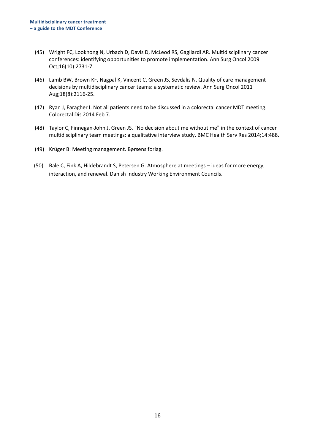- (45) Wright FC, Lookhong N, Urbach D, Davis D, McLeod RS, Gagliardi AR. Multidisciplinary cancer conferences: identifying opportunities to promote implementation. Ann Surg Oncol 2009 Oct;16(10):2731-7.
- (46) Lamb BW, Brown KF, Nagpal K, Vincent C, Green JS, Sevdalis N. Quality of care management decisions by multidisciplinary cancer teams: a systematic review. Ann Surg Oncol 2011 Aug;18(8):2116-25.
- (47) Ryan J, Faragher I. Not all patients need to be discussed in a colorectal cancer MDT meeting. Colorectal Dis 2014 Feb 7.
- (48) Taylor C, Finnegan-John J, Green JS. "No decision about me without me" in the context of cancer multidisciplinary team meetings: a qualitative interview study. BMC Health Serv Res 2014;14:488.
- (49) Krüger B: Meeting management. Børsens forlag.
- (50) Bale C, Fink A, Hildebrandt S, Petersen G. Atmosphere at meetings ideas for more energy, interaction, and renewal. Danish Industry Working Environment Councils.